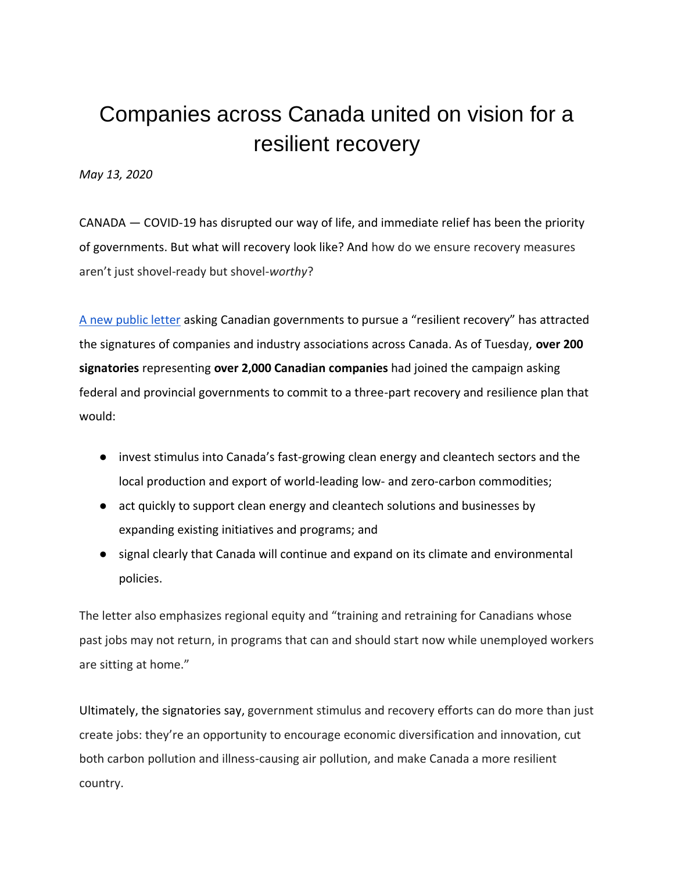## Companies across Canada united on vision for a resilient recovery

*May 13, 2020*

CANADA — COVID-19 has disrupted our way of life, and immediate relief has been the priority of governments. But what will recovery look like? And how do we ensure recovery measures aren't just shovel-ready but shovel-*worthy*?

[A new public letter](https://www.resilientrecovery.ca/) [asking Canadian go](https://www.resilientrecovery.ca/)vernments to pursue a "resilient recovery" has attracted the signatures of companies and industry associations across Canada. As of Tuesday, **over 200 signatories** representing **over 2,000 Canadian companies** had joined the campaign asking federal and provincial governments to commit to a three-part recovery and resilience plan that would:

- invest stimulus into Canada's fast-growing clean energy and cleantech sectors and the local production and export of world-leading low- and zero-carbon commodities;
- act quickly to support clean energy and cleantech solutions and businesses by expanding existing initiatives and programs; and
- signal clearly that Canada will continue and expand on its climate and environmental policies.

The letter also emphasizes regional equity and "training and retraining for Canadians whose past jobs may not return, in programs that can and should start now while unemployed workers are sitting at home."

Ultimately, the signatories say, government stimulus and recovery efforts can do more than just create jobs: they're an opportunity to encourage economic diversification and innovation, cut both carbon pollution and illness-causing air pollution, and make Canada a more resilient country.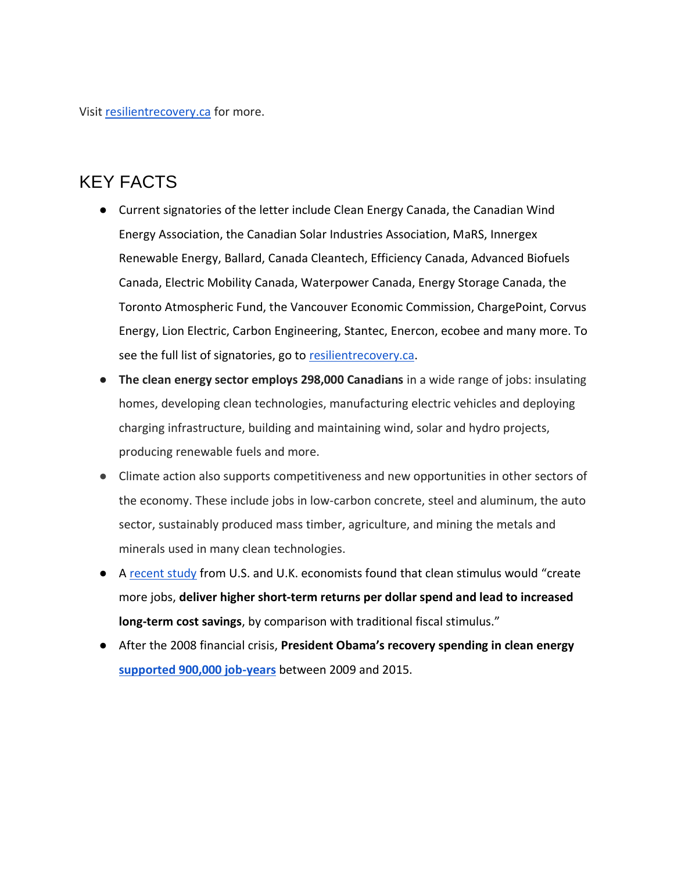Visi[t resilientrecovery.ca](https://www.resilientrecovery.ca/) [for more.](https://www.resilientrecovery.ca/)

## [KEY FACT](https://www.resilientrecovery.ca/)S

- Current signatories of the letter include Clean Energy Canada, the Canadian Wind Energy Association, the Canadian Solar Industries Association, MaRS, Innergex Renewable Energy, Ballard, Canada Cleantech, Efficiency Canada, Advanced Biofuels Canada, Electric Mobility Canada, Waterpower Canada, Energy Storage Canada, the Toronto Atmospheric Fund, the Vancouver Economic Commission, ChargePoint, Corvus Energy, Lion Electric, Carbon Engineering, Stantec, Enercon, ecobee and many more. To see the full list of signatories, go t[o resilientrecovery.ca.](http://resilientrecovery.ca/)
- **[The clean energy s](http://resilientrecovery.ca/)ector employs 298,000 Canadians** in a wide range of jobs: insulating homes, developing clean technologies, manufacturing electric vehicles and deploying charging infrastructure, building and maintaining wind, solar and hydro projects, producing renewable fuels and more.
- Climate action also supports competitiveness and new opportunities in other sectors of the economy. These include jobs in low-carbon concrete, steel and aluminum, the auto sector, sustainably produced mass timber, agriculture, and mining the metals and minerals used in many clean technologies.
- A [recent study](https://www.smithschool.ox.ac.uk/news/articles/200505-building-back-better-net-zero-emissions-recovery.html) [from U.S. a](https://www.smithschool.ox.ac.uk/news/articles/200505-building-back-better-net-zero-emissions-recovery.html)nd U.K. economists found that clean stimulus would "create more jobs, **deliver higher short-term returns per dollar spend and lead to increased long-term cost savings**, by comparison with traditional fiscal stimulus."
- After the 2008 financial crisis, **President Obama's recovery spending in clean energy [supported 900,000 job-years](https://cleanenergycanada.org/media-brief-the-impact-of-clean-stimulus-measures-on-the-u-s-economy-following-the-2008-downturn/)** [between 2009 and 2015.](https://cleanenergycanada.org/media-brief-the-impact-of-clean-stimulus-measures-on-the-u-s-economy-following-the-2008-downturn/)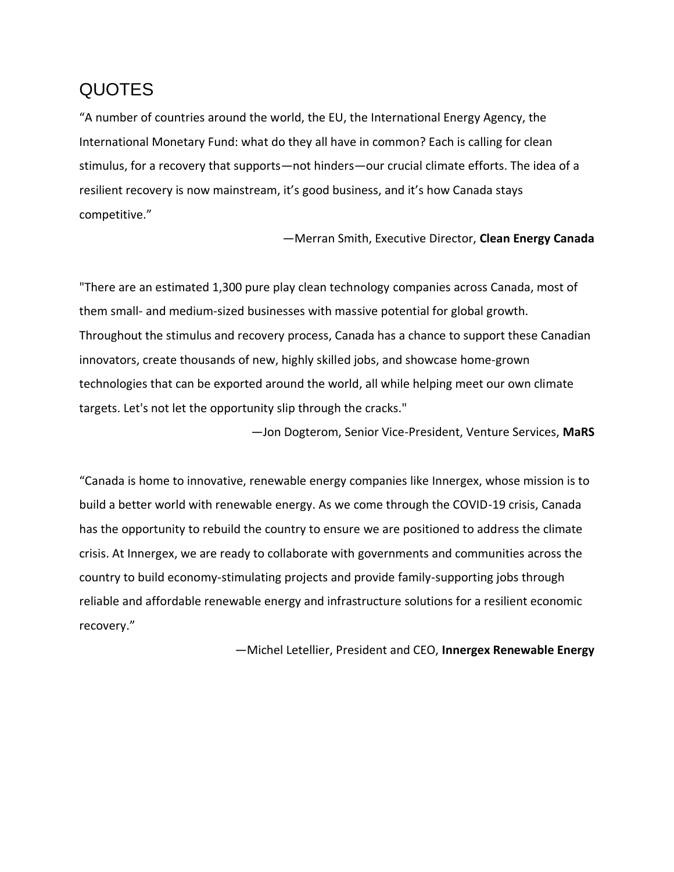## [QU](https://cleanenergycanada.org/media-brief-the-impact-of-clean-stimulus-measures-on-the-u-s-economy-following-the-2008-downturn/)OTES

"A number of countries around the world, the EU, the International Energy Agency, the International Monetary Fund: what do they all have in common? Each is calling for clean stimulus, for a recovery that supports—not hinders—our crucial climate efforts. The idea of a resilient recovery is now mainstream, it's good business, and it's how Canada stays competitive."

—Merran Smith, Executive Director, **Clean Energy Canada**

"There are an estimated 1,300 pure play clean technology companies across Canada, most of them small- and medium-sized businesses with massive potential for global growth. Throughout the stimulus and recovery process, Canada has a chance to support these Canadian innovators, create thousands of new, highly skilled jobs, and showcase home-grown technologies that can be exported around the world, all while helping meet our own climate targets. Let's not let the opportunity slip through the cracks."

—Jon Dogterom, Senior Vice-President, Venture Services, **MaRS**

"Canada is home to innovative, renewable energy companies like Innergex, whose mission is to build a better world with renewable energy. As we come through the COVID-19 crisis, Canada has the opportunity to rebuild the country to ensure we are positioned to address the climate crisis. At Innergex, we are ready to collaborate with governments and communities across the country to build economy-stimulating projects and provide family-supporting jobs through reliable and affordable renewable energy and infrastructure solutions for a resilient economic recovery."

—Michel Letellier, President and CEO, **Innergex Renewable Energy**